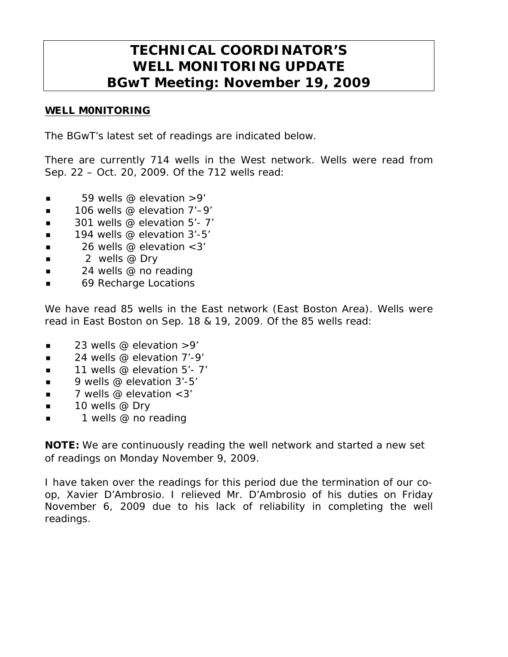# **TECHNICAL COORDINATOR'S WELL MONITORING UPDATE BGwT Meeting: November 19, 2009**

#### WELL M0NITORING

The BGwT's latest set of readings are indicated below.

There are currently 714 wells in the West network. Wells were read from Sep. 22 – Oct. 20, 2009. Of the 712 wells read:

- $\blacksquare$  59 wells @ elevation > 9'
- $\blacksquare$  106 wells @ elevation 7'–9'
- $\blacksquare$  301 wells @ elevation 5'-7'
- $\blacksquare$  194 wells @ elevation 3'-5'
- $\blacksquare$  26 wells @ elevation < 3'
- $\blacksquare$  2 wells @ Dry
- $\blacksquare$  24 wells @ no reading
- 69 Recharge Locations

We have read 85 wells in the East network (East Boston Area). Wells were read in East Boston on Sep. 18 & 19, 2009. Of the 85 wells read:

- 23 wells @ elevation >9'
- $\blacksquare$  24 wells @ elevation 7'-9'
- 11 wells @ elevation 5'- 7'
- 9 wells @ elevation 3'-5'
- $\blacksquare$  7 wells @ elevation < 3'
- $\blacksquare$  10 wells @ Dry
- 1 wells @ no reading

NOTE: We are continuously reading the well network and started a new set of readings on Monday November 9, 2009.

I have taken over the readings for this period due the termination of our coop, Xavier D'Ambrosio. I relieved Mr. D'Ambrosio of his duties on Friday November 6, 2009 due to his lack of reliability in completing the well readings.